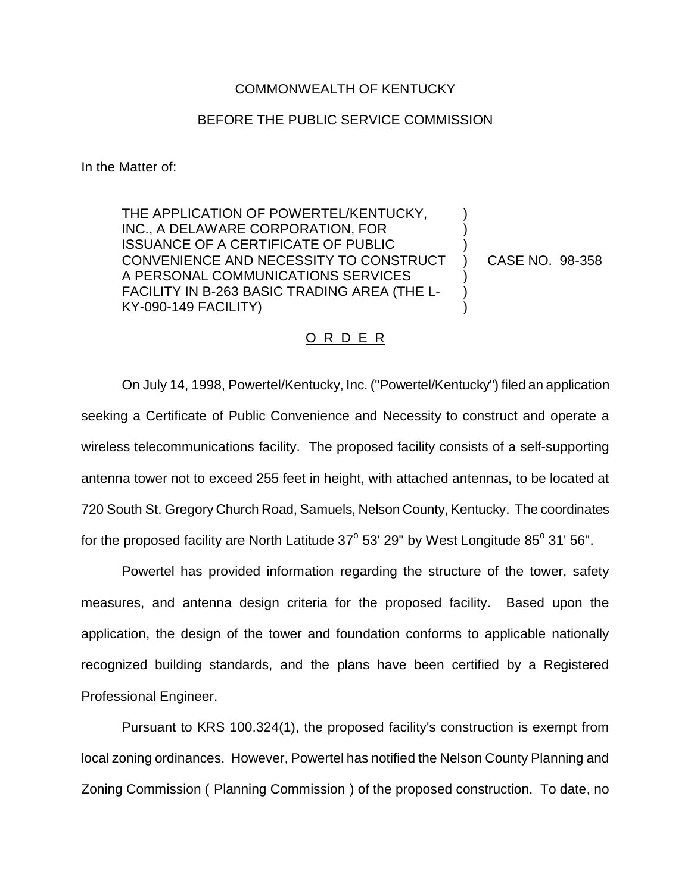## COMMONWEALTH OF KENTUCKY

## BEFORE THE PUBLIC SERVICE COMMISSION

In the Matter of:

THE APPLICATION OF POWERTEL/KENTUCKY, INC., A DELAWARE CORPORATION, FOR ISSUANCE OF A CERTIFICATE OF PUBLIC CONVENIENCE AND NECESSITY TO CONSTRUCT A PERSONAL COMMUNICATIONS SERVICES FACILITY IN B-263 BASIC TRADING AREA (THE L-KY-090-149 FACILITY)

CASE NO. 98-358

) ) ) ) ) ) )

## O R D E R

On July 14, 1998, Powertel/Kentucky, Inc. ("Powertel/Kentucky") filed an application seeking a Certificate of Public Convenience and Necessity to construct and operate a wireless telecommunications facility. The proposed facility consists of a self-supporting antenna tower not to exceed 255 feet in height, with attached antennas, to be located at 720 South St. Gregory Church Road, Samuels, Nelson County, Kentucky. The coordinates for the proposed facility are North Latitude  $37^{\circ}$  53' 29" by West Longitude  $85^{\circ}$  31' 56".

Powertel has provided information regarding the structure of the tower, safety measures, and antenna design criteria for the proposed facility. Based upon the application, the design of the tower and foundation conforms to applicable nationally recognized building standards, and the plans have been certified by a Registered Professional Engineer.

Pursuant to KRS 100.324(1), the proposed facility's construction is exempt from local zoning ordinances. However, Powertel has notified the Nelson County Planning and Zoning Commission ( Planning Commission ) of the proposed construction. To date, no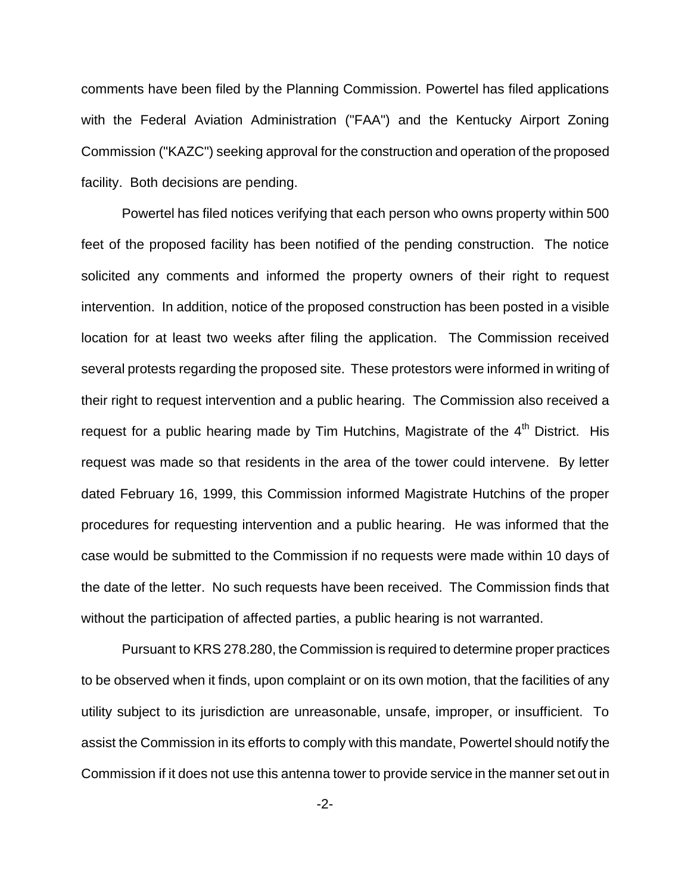comments have been filed by the Planning Commission. Powertel has filed applications with the Federal Aviation Administration ("FAA") and the Kentucky Airport Zoning Commission ("KAZC") seeking approval for the construction and operation of the proposed facility. Both decisions are pending.

Powertel has filed notices verifying that each person who owns property within 500 feet of the proposed facility has been notified of the pending construction. The notice solicited any comments and informed the property owners of their right to request intervention. In addition, notice of the proposed construction has been posted in a visible location for at least two weeks after filing the application. The Commission received several protests regarding the proposed site. These protestors were informed in writing of their right to request intervention and a public hearing. The Commission also received a request for a public hearing made by Tim Hutchins, Magistrate of the  $4<sup>th</sup>$  District. His request was made so that residents in the area of the tower could intervene. By letter dated February 16, 1999, this Commission informed Magistrate Hutchins of the proper procedures for requesting intervention and a public hearing. He was informed that the case would be submitted to the Commission if no requests were made within 10 days of the date of the letter. No such requests have been received. The Commission finds that without the participation of affected parties, a public hearing is not warranted.

Pursuant to KRS 278.280, the Commission is required to determine proper practices to be observed when it finds, upon complaint or on its own motion, that the facilities of any utility subject to its jurisdiction are unreasonable, unsafe, improper, or insufficient. To assist the Commission in its efforts to comply with this mandate, Powertel should notify the Commission if it does not use this antenna tower to provide service in the manner set out in

-2-